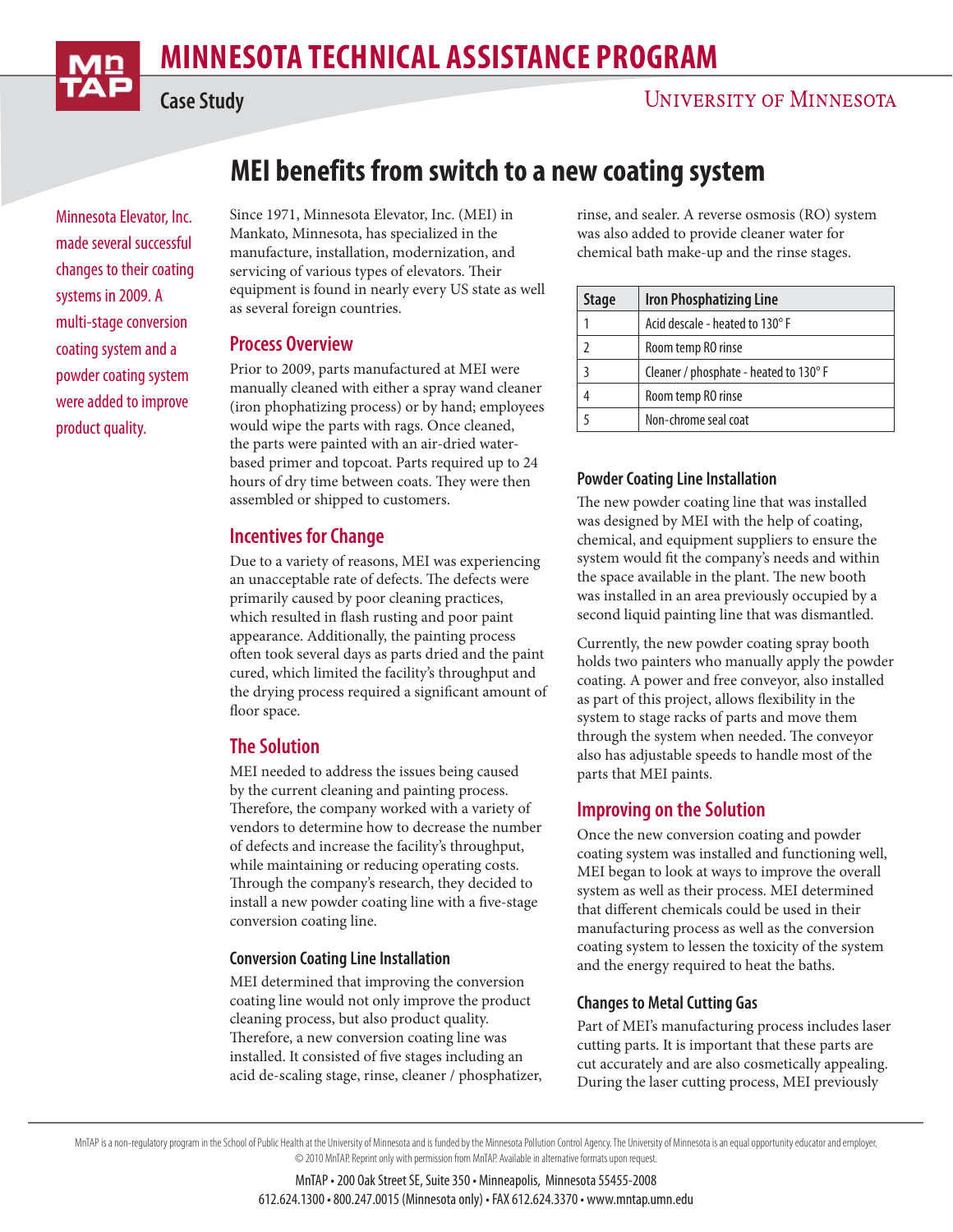# **MINNESOTA TECHNICAL ASSISTANCE PROGRAM MINDES**



**Case Study**

# **MEI benefits from switch to a new coating system**

Minnesota Elevator, Inc. made several successful changes to their coating systems in 2009. A multi-stage conversion coating system and a powder coating system were added to improve product quality.

Since 1971, Minnesota Elevator, Inc. (MEI) in Mankato, Minnesota, has specialized in the manufacture, installation, modernization, and servicing of various types of elevators. Their equipment is found in nearly every US state as well as several foreign countries.

### **Process Overview**

Prior to 2009, parts manufactured at MEI were manually cleaned with either a spray wand cleaner (iron phophatizing process) or by hand; employees would wipe the parts with rags. Once cleaned, the parts were painted with an air-dried waterbased primer and topcoat. Parts required up to 24 hours of dry time between coats. They were then assembled or shipped to customers.

### **Incentives for Change**

Due to a variety of reasons, MEI was experiencing an unacceptable rate of defects. The defects were primarily caused by poor cleaning practices, which resulted in flash rusting and poor paint appearance. Additionally, the painting process often took several days as parts dried and the paint cured, which limited the facility's throughput and the drying process required a significant amount of floor space.

## **The Solution**

MEI needed to address the issues being caused by the current cleaning and painting process. Therefore, the company worked with a variety of vendors to determine how to decrease the number of defects and increase the facility's throughput, while maintaining or reducing operating costs. Through the company's research, they decided to install a new powder coating line with a five-stage conversion coating line.

#### **Conversion Coating Line Installation**

MEI determined that improving the conversion coating line would not only improve the product cleaning process, but also product quality. Therefore, a new conversion coating line was installed. It consisted of five stages including an acid de-scaling stage, rinse, cleaner / phosphatizer, rinse, and sealer. A reverse osmosis (RO) system was also added to provide cleaner water for chemical bath make-up and the rinse stages.

| <b>Stage</b> | <b>Iron Phosphatizing Line</b>         |
|--------------|----------------------------------------|
|              | Acid descale - heated to 130° F        |
|              | Room temp RO rinse                     |
|              | Cleaner / phosphate - heated to 130° F |
|              | Room temp RO rinse                     |
|              | Non-chrome seal coat                   |

### **Powder Coating Line Installation**

The new powder coating line that was installed was designed by MEI with the help of coating, chemical, and equipment suppliers to ensure the system would fit the company's needs and within the space available in the plant. The new booth was installed in an area previously occupied by a second liquid painting line that was dismantled.

Currently, the new powder coating spray booth holds two painters who manually apply the powder coating. A power and free conveyor, also installed as part of this project, allows flexibility in the system to stage racks of parts and move them through the system when needed. The conveyor also has adjustable speeds to handle most of the parts that MEI paints.

## **Improving on the Solution**

Once the new conversion coating and powder coating system was installed and functioning well, MEI began to look at ways to improve the overall system as well as their process. MEI determined that different chemicals could be used in their manufacturing process as well as the conversion coating system to lessen the toxicity of the system and the energy required to heat the baths.

#### **Changes to Metal Cutting Gas**

Part of MEI's manufacturing process includes laser cutting parts. It is important that these parts are cut accurately and are also cosmetically appealing. During the laser cutting process, MEI previously

MnTAP is a non-regulatory program in the School of Public Health at the University of Minnesota and is funded by the Minnesota Pollution Control Agency. The University of Minnesota is an equal opportunity educator and empl © 2010 MnTAP. Reprint only with permission from MnTAP. Available in alternative formats upon request.